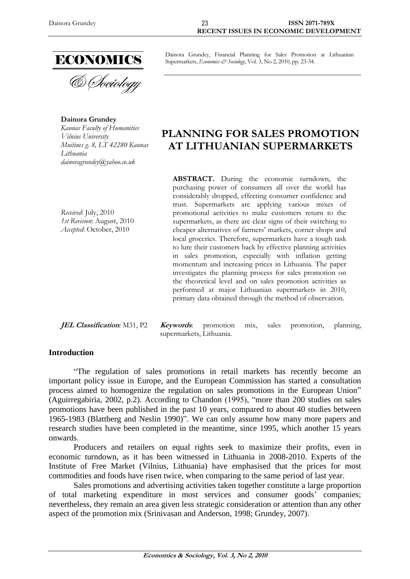

**Dainora Grundey** *Kaunas Faculty of Humanities Vilnius University Muitines g. 8, LT 42280 Kaunas Lithuania dainoragrundey@yahoo.co.uk*

Dainora Grundey, Financial Planning for Sales Promotion at Lithuanian Supermarkets, *Economics & Sociology*, Vol. 3, No 2, 2010, pp. 23-34.

# **PLANNING FOR SALES PROMOTION AT LITHUANIAN SUPERMARKETS**

*Received*: July, 2010 *1st Revision*: August, 2010 *Accepted*: October, 2010

**ABSTRACT.** During the economic turndown, the purchasing power of consumers all over the world has considerably dropped, effecting consumer confidence and trust. Supermarkets are applying various mixes of promotional activities to make customers return to the supermarkets, as there are clear signs of their switching to cheaper alternatives of farmers' markets, corner shops and local groceries. Therefore, supermarkets have a tough task to lure their customers back by effective planning activities in sales promotion, especially with inflation getting momentum and increasing prices in Lithuania. The paper investigates the planning process for sales promotion on the theoretical level and on sales promotion activities as performed at major Lithuanian supermarkets in 2010, primary data obtained through the method of observation.

**JEL Classification***:* M31, P2 **Keywords**: promotion mix, sales promotion, planning, supermarkets, Lithuania.

### **Introduction**

"The regulation of sales promotions in retail markets has recently become an important policy issue in Europe, and the European Commission has started a consultation process aimed to homogenize the regulation on sales promotions in the European Union" (Aguirregabiria, 2002, p.2). According to Chandon (1995), "more than 200 studies on sales promotions have been published in the past 10 years, compared to about 40 studies between 1965-1983 (Blattberg and Neslin 1990)". We can only assume how many more papers and research studies have been completed in the meantime, since 1995, which another 15 years onwards.

Producers and retailers on equal rights seek to maximize their profits, even in economic turndown, as it has been witnessed in Lithuania in 2008-2010. Experts of the Institute of Free Market (Vilnius, Lithuania) have emphasised that the prices for most commodities and foods have risen twice, when comparing to the same period of last year.

Sales promotions and advertising activities taken together constitute a large proportion of total marketing expenditure in most services and consumer goods' companies; nevertheless, they remain an area given less strategic consideration or attention than any other aspect of the promotion mix (Srinivasan and Anderson, 1998; Grundey, 2007).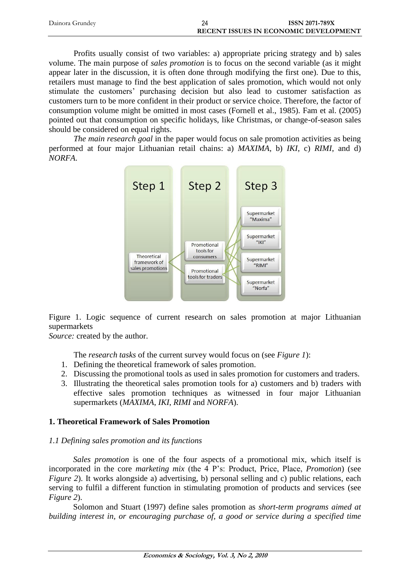| Dainora Grundev | ISSN 2071-789X                               |
|-----------------|----------------------------------------------|
|                 | <b>RECENT ISSUES IN ECONOMIC DEVELOPMENT</b> |

Profits usually consist of two variables: a) appropriate pricing strategy and b) sales volume. The main purpose of *sales promotion* is to focus on the second variable (as it might appear later in the discussion, it is often done through modifying the first one). Due to this, retailers must manage to find the best application of sales promotion, which would not only stimulate the customers' purchasing decision but also lead to customer satisfaction as customers turn to be more confident in their product or service choice. Therefore, the factor of consumption volume might be omitted in most cases (Fornell et al., 1985). Fam et al. (2005) pointed out that consumption on specific holidays, like Christmas, or change-of-season sales should be considered on equal rights.

*The main research goal* in the paper would focus on sale promotion activities as being performed at four major Lithuanian retail chains: a) *MAXIMA*, b) *IKI*, c) *RIMI*, and d) *NORFA*.



Figure 1. Logic sequence of current research on sales promotion at major Lithuanian supermarkets

*Source:* created by the author.

The *research tasks* of the current survey would focus on (see *Figure 1*):

- 1. Defining the theoretical framework of sales promotion.
- 2. Discussing the promotional tools as used in sales promotion for customers and traders.
- 3. Illustrating the theoretical sales promotion tools for a) customers and b) traders with effective sales promotion techniques as witnessed in four major Lithuanian supermarkets (*MAXIMA*, *IKI*, *RIMI* and *NORFA*).

## **1. Theoretical Framework of Sales Promotion**

## *1.1 Defining sales promotion and its functions*

*Sales promotion* is one of the four aspects of a promotional mix, which itself is incorporated in the core *marketing mix* (the 4 P's: Product, Price, Place, *Promotion*) (see *Figure 2*). It works alongside a) advertising, b) personal selling and c) public relations, each serving to fulfil a different function in stimulating promotion of products and services (see *Figure 2*).

Solomon and Stuart (1997) define sales promotion as *short-term programs aimed at building interest in, or encouraging purchase of, a good or service during a specified time*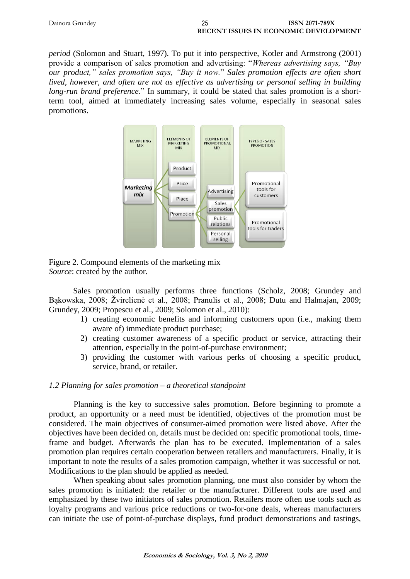| Dainora Grundey | ISSN 2071-789X                               |
|-----------------|----------------------------------------------|
|                 | <b>RECENT ISSUES IN ECONOMIC DEVELOPMENT</b> |

*period* (Solomon and Stuart, 1997). To put it into perspective, Kotler and Armstrong (2001) provide a comparison of sales promotion and advertising: "*Whereas advertising says, "Buy our product," sales promotion says, "Buy it now.*" *Sales promotion effects are often short lived, however, and often are not as effective as advertising or personal selling in building long-run brand preference*." In summary, it could be stated that sales promotion is a shortterm tool, aimed at immediately increasing sales volume, especially in seasonal sales promotions.



Figure 2. Compound elements of the marketing mix *Source*: created by the author.

Sales promotion usually performs three functions (Scholz, 2008; Grundey and Bąkowska, 2008; Žvirelienė et al., 2008; Pranulis et al., 2008; Dutu and Halmajan, 2009; Grundey, 2009; Propescu et al., 2009; Solomon et al., 2010):

- 1) creating economic benefits and informing customers upon (i.e., making them aware of) immediate product purchase;
- 2) creating customer awareness of a specific product or service, attracting their attention, especially in the point-of-purchase environment;
- 3) providing the customer with various perks of choosing a specific product, service, brand, or retailer.

### *1.2 Planning for sales promotion – a theoretical standpoint*

Planning is the key to successive sales promotion. Before beginning to promote a product, an opportunity or a need must be identified, objectives of the promotion must be considered. The main objectives of consumer-aimed promotion were listed above. After the objectives have been decided on, details must be decided on: specific promotional tools, timeframe and budget. Afterwards the plan has to be executed. Implementation of a sales promotion plan requires certain cooperation between retailers and manufacturers. Finally, it is important to note the results of a sales promotion campaign, whether it was successful or not. Modifications to the plan should be applied as needed.

When speaking about sales promotion planning, one must also consider by whom the sales promotion is initiated: the retailer or the manufacturer. Different tools are used and emphasized by these two initiators of sales promotion. Retailers more often use tools such as loyalty programs and various price reductions or two-for-one deals, whereas manufacturers can initiate the use of point-of-purchase displays, fund product demonstrations and tastings,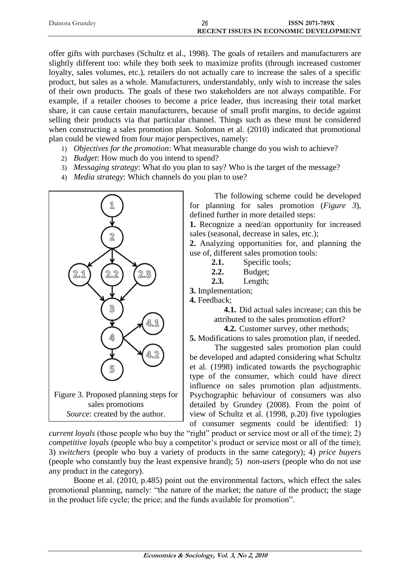| Dainora Grundey | 26 | <b>ISSN 2071-789X</b>                        |
|-----------------|----|----------------------------------------------|
|                 |    | <b>RECENT ISSUES IN ECONOMIC DEVELOPMENT</b> |

offer gifts with purchases (Schultz et al., 1998). The goals of retailers and manufacturers are slightly different too: while they both seek to maximize profits (through increased customer loyalty, sales volumes, etc.), retailers do not actually care to increase the sales of a specific product, but sales as a whole. Manufacturers, understandably, only wish to increase the sales of their own products. The goals of these two stakeholders are not always compatible. For example, if a retailer chooses to become a price leader, thus increasing their total market share, it can cause certain manufacturers, because of small profit margins, to decide against selling their products via that particular channel. Things such as these must be considered when constructing a sales promotion plan. Solomon et al. (2010) indicated that promotional plan could be viewed from four major perspectives, namely:

- 1) *Objectives for the promotion*: What measurable change do you wish to achieve?
- 2) *Budget*: How much do you intend to spend?
- 3) *Messaging strategy*: What do you plan to say? Who is the target of the message?
- 4) *Media strategy*: Which channels do you plan to use?



The following scheme could be developed for planning for sales promotion (*Figure 3*), defined further in more detailed steps:

**1.** Recognize a need/an opportunity for increased sales (seasonal, decrease in sales, etc.);

**2.** Analyzing opportunities for, and planning the use of, different sales promotion tools:

- **2.1.** Specific tools;
- **2.2.** Budget;
- **2.3.** Length;
- **3.** Implementation;

**4.** Feedback;

**4.1.** Did actual sales increase; can this be attributed to the sales promotion effort?

**4.2.** Customer survey, other methods;

**5.** Modifications to sales promotion plan, if needed.

The suggested sales promotion plan could be developed and adapted considering what Schultz et al. (1998) indicated towards the psychographic type of the consumer, which could have direct influence on sales promotion plan adjustments. Psychographic behaviour of consumers was also detailed by Grundey (2008). From the point of view of Schultz et al. (1998, p.20) five typologies of consumer segments could be identified: 1)

*current loyals* (those people who buy the "right" product or service most or all of the time); 2) *competitive loyals* (people who buy a competitor's product or service most or all of the time); 3) *switchers* (people who buy a variety of products in the same category); 4) *price buyers* (people who constantly buy the least expensive brand); 5) *non-users* (people who do not use any product in the category).

Boone et al. (2010, p.485) point out the environmental factors, which effect the sales promotional planning, namely: "the nature of the market; the nature of the product; the stage in the product life cycle; the price; and the funds available for promotion".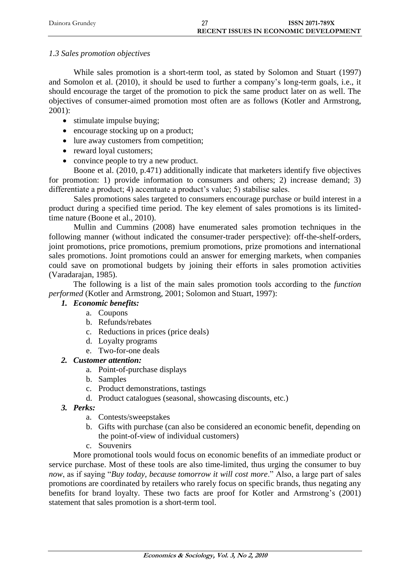| Dainora Grundey | ISSN 2071-789X                               |  |
|-----------------|----------------------------------------------|--|
|                 | <b>RECENT ISSUES IN ECONOMIC DEVELOPMENT</b> |  |

## *1.3 Sales promotion objectives*

While sales promotion is a short-term tool, as stated by Solomon and Stuart (1997) and Somolon et al. (2010), it should be used to further a company's long-term goals, i.e., it should encourage the target of the promotion to pick the same product later on as well. The objectives of consumer-aimed promotion most often are as follows (Kotler and Armstrong, 2001):

- stimulate impulse buying;
- encourage stocking up on a product;
- lure away customers from competition;
- reward loyal customers;
- convince people to try a new product.

Boone et al. (2010, p.471) additionally indicate that marketers identify five objectives for promotion: 1) provide information to consumers and others; 2) increase demand; 3) differentiate a product; 4) accentuate a product's value; 5) stabilise sales.

Sales promotions sales targeted to consumers encourage purchase or build interest in a product during a specified time period. The key element of sales promotions is its limitedtime nature (Boone et al., 2010).

Mullin and Cummins (2008) have enumerated sales promotion techniques in the following manner (without indicated the consumer-trader perspective): off-the-shelf-orders, joint promotions, price promotions, premium promotions, prize promotions and international sales promotions. Joint promotions could an answer for emerging markets, when companies could save on promotional budgets by joining their efforts in sales promotion activities (Varadarajan, 1985).

The following is a list of the main sales promotion tools according to the *function performed* (Kotler and Armstrong, 2001; Solomon and Stuart, 1997):

## *1. Economic benefits:*

- a. Coupons
- b. Refunds/rebates
- c. Reductions in prices (price deals)
- d. Loyalty programs
- e. Two-for-one deals
- *2. Customer attention:*
	- a. Point-of-purchase displays
	- b. Samples
	- c. Product demonstrations, tastings
	- d. Product catalogues (seasonal, showcasing discounts, etc.)
- *3. Perks:*
	- a. Contests/sweepstakes
	- b. Gifts with purchase (can also be considered an economic benefit, depending on the point-of-view of individual customers)
	- c. Souvenirs

More promotional tools would focus on economic benefits of an immediate product or service purchase. Most of these tools are also time-limited, thus urging the consumer to buy *now*, as if saying "*Buy today, because tomorrow it will cost more*." Also, a large part of sales promotions are coordinated by retailers who rarely focus on specific brands, thus negating any benefits for brand loyalty. These two facts are proof for Kotler and Armstrong's (2001) statement that sales promotion is a short-term tool.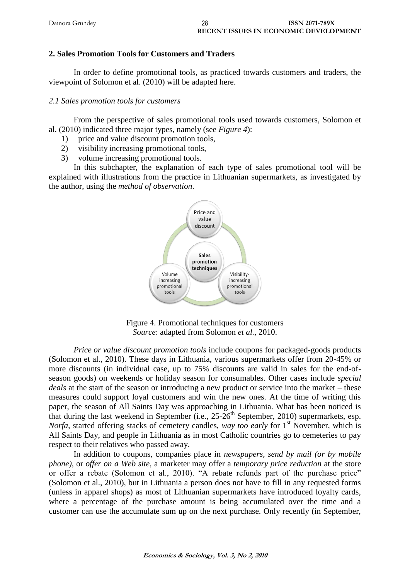| Dainora Grundey | 28 | <b>ISSN 2071-789X</b>                        |
|-----------------|----|----------------------------------------------|
|                 |    | <b>RECENT ISSUES IN ECONOMIC DEVELOPMENT</b> |

## **2. Sales Promotion Tools for Customers and Traders**

In order to define promotional tools, as practiced towards customers and traders, the viewpoint of Solomon et al. (2010) will be adapted here.

## *2.1 Sales promotion tools for customers*

From the perspective of sales promotional tools used towards customers, Solomon et al. (2010) indicated three major types, namely (see *Figure 4*):

- 1) price and value discount promotion tools,
- 2) visibility increasing promotional tools,
- 3) volume increasing promotional tools.

In this subchapter, the explanation of each type of sales promotional tool will be explained with illustrations from the practice in Lithuanian supermarkets, as investigated by the author, using the *method of observation*.



Figure 4. Promotional techniques for customers *Source*: adapted from Solomon *et al.*, 2010.

*Price or value discount promotion tools* include coupons for packaged-goods products (Solomon et al., 2010). These days in Lithuania, various supermarkets offer from 20-45% or more discounts (in individual case, up to 75% discounts are valid in sales for the end-ofseason goods) on weekends or holiday season for consumables. Other cases include *special deals* at the start of the season or introducing a new product or service into the market – these measures could support loyal customers and win the new ones. At the time of writing this paper, the season of All Saints Day was approaching in Lithuania. What has been noticed is that during the last weekend in September (i.e.,  $25\text{-}26^{\text{th}}$  September, 2010) supermarkets, esp. *Norfa*, started offering stacks of cemetery candles, *way too early* for 1<sup>st</sup> November, which is All Saints Day, and people in Lithuania as in most Catholic countries go to cemeteries to pay respect to their relatives who passed away.

In addition to coupons, companies place in *newspapers, send by mail (or by mobile phone)*, or *offer on a Web site*, a marketer may offer a *temporary price reduction* at the store or offer a rebate (Solomon et al., 2010). "A rebate refunds part of the purchase price" (Solomon et al., 2010), but in Lithuania a person does not have to fill in any requested forms (unless in apparel shops) as most of Lithuanian supermarkets have introduced loyalty cards, where a percentage of the purchase amount is being accumulated over the time and a customer can use the accumulate sum up on the next purchase. Only recently (in September,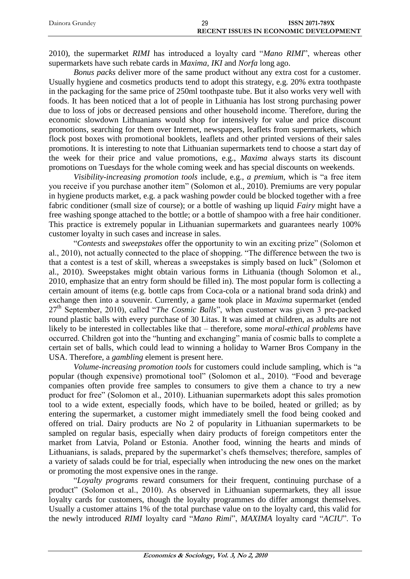| Dainora Grundev | 29 | <b>ISSN 2071-789X</b>                        |
|-----------------|----|----------------------------------------------|
|                 |    | <b>RECENT ISSUES IN ECONOMIC DEVELOPMENT</b> |

2010), the supermarket *RIMI* has introduced a loyalty card "*Mano RIMI*", whereas other supermarkets have such rebate cards in *Maxima*, *IKI* and *Norfa* long ago.

*Bonus packs* deliver more of the same product without any extra cost for a customer. Usually hygiene and cosmetics products tend to adopt this strategy, e.g. 20% extra toothpaste in the packaging for the same price of 250ml toothpaste tube. But it also works very well with foods. It has been noticed that a lot of people in Lithuania has lost strong purchasing power due to loss of jobs or decreased pensions and other household income. Therefore, during the economic slowdown Lithuanians would shop for intensively for value and price discount promotions, searching for them over Internet, newspapers, leaflets from supermarkets, which flock post boxes with promotional booklets, leaflets and other printed versions of their sales promotions. It is interesting to note that Lithuanian supermarkets tend to choose a start day of the week for their price and value promotions, e.g., *Maxima* always starts its discount promotions on Tuesdays for the whole coming week and has special discounts on weekends.

*Visibility-increasing promotion tools* include, e.g., *a premium*, which is "a free item you receive if you purchase another item" (Solomon et al., 2010). Premiums are very popular in hygiene products market, e.g. a pack washing powder could be blocked together with a free fabric conditioner (small size of course); or a bottle of washing up liquid *Fairy* might have a free washing sponge attached to the bottle; or a bottle of shampoo with a free hair conditioner. This practice is extremely popular in Lithuanian supermarkets and guarantees nearly 100% customer loyalty in such cases and increase in sales.

"*Contests* and *sweepstakes* offer the opportunity to win an exciting prize" (Solomon et al., 2010), not actually connected to the place of shopping. "The difference between the two is that a contest is a test of skill, whereas a sweepstakes is simply based on luck" (Solomon et al., 2010). Sweepstakes might obtain various forms in Lithuania (though Solomon et al., 2010, emphasize that an entry form should be filled in). The most popular form is collecting a certain amount of items (e.g. bottle caps from Coca-cola or a national brand soda drink) and exchange then into a souvenir. Currently, a game took place in *Maxima* supermarket (ended 27th September, 2010), called "*The Cosmic Balls*", when customer was given 3 pre-packed round plastic balls with every purchase of 30 Litas. It was aimed at children, as adults are not likely to be interested in collectables like that – therefore, some *moral-ethical problems* have occurred. Children got into the "hunting and exchanging" mania of cosmic balls to complete a certain set of balls, which could lead to winning a holiday to Warner Bros Company in the USA. Therefore, a *gambling* element is present here.

*Volume-increasing promotion tools* for customers could include sampling, which is "a popular (though expensive) promotional tool" (Solomon et al., 2010). "Food and beverage companies often provide free samples to consumers to give them a chance to try a new product for free" (Solomon et al., 2010). Lithuanian supermarkets adopt this sales promotion tool to a wide extent, especially foods, which have to be boiled, heated or grilled; as by entering the supermarket, a customer might immediately smell the food being cooked and offered on trial. Dairy products are No 2 of popularity in Lithuanian supermarkets to be sampled on regular basis, especially when dairy products of foreign competitors enter the market from Latvia, Poland or Estonia. Another food, winning the hearts and minds of Lithuanians, is salads, prepared by the supermarket's chefs themselves; therefore, samples of a variety of salads could be for trial, especially when introducing the new ones on the market or promoting the most expensive ones in the range.

"*Loyalty programs* reward consumers for their frequent, continuing purchase of a product" (Solomon et al., 2010). As observed in Lithuanian supermarkets, they all issue loyalty cards for customers, though the loyalty programmes do differ amongst themselves. Usually a customer attains 1% of the total purchase value on to the loyalty card, this valid for the newly introduced *RIMI* loyalty card "*Mano Rimi*", *MAXIMA* loyalty card "*ACIU*". To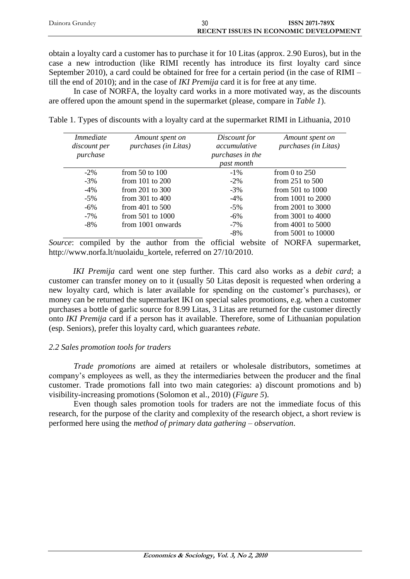| Dainora Grundev | 30 | <b>ISSN 2071-789X</b>                        |
|-----------------|----|----------------------------------------------|
|                 |    | <b>RECENT ISSUES IN ECONOMIC DEVELOPMENT</b> |

obtain a loyalty card a customer has to purchase it for 10 Litas (approx. 2.90 Euros), but in the case a new introduction (like RIMI recently has introduce its first loyalty card since September 2010), a card could be obtained for free for a certain period (in the case of RIMI – till the end of 2010); and in the case of *IKI Premija* card it is for free at any time.

In case of NORFA, the loyalty card works in a more motivated way, as the discounts are offered upon the amount spend in the supermarket (please, compare in *Table 1*).

|  |  |  |  |  |  | Table 1. Types of discounts with a loyalty card at the supermarket RIMI in Lithuania, 2010 |
|--|--|--|--|--|--|--------------------------------------------------------------------------------------------|
|--|--|--|--|--|--|--------------------------------------------------------------------------------------------|

| <i>Immediate</i><br>discount per<br>purchase | Amount spent on<br>purchases (in Litas) | Discount for<br>accumulative<br>purchases in the<br>past month | Amount spent on<br>purchases (in Litas) |
|----------------------------------------------|-----------------------------------------|----------------------------------------------------------------|-----------------------------------------|
| $-2\%$                                       | from $50$ to $100$                      | $-1\%$                                                         | from 0 to $250$                         |
| $-3\%$                                       | from $101$ to $200$                     | $-2\%$                                                         | from $251$ to $500$                     |
| $-4\%$                                       | from $201$ to $300$                     | $-3\%$                                                         | from $501$ to $1000$                    |
| $-5%$                                        | from $301$ to $400$                     | $-4\%$                                                         | from $1001$ to $2000$                   |
| $-6\%$                                       | from $401$ to $500$                     | $-5\%$                                                         | from $2001$ to $3000$                   |
| $-7\%$                                       | from $501$ to $1000$                    | $-6\%$                                                         | from $3001$ to $4000$                   |
| $-8\%$                                       | from 1001 onwards                       | $-7\%$                                                         | from $4001$ to $5000$                   |
|                                              |                                         | $-8\%$                                                         | from 5001 to 10000                      |

*Source*: compiled by the author from the official website of NORFA supermarket, [http://www.norfa.lt/nuolaidu\\_kortele,](http://www.norfa.lt/nuolaidu_kortele) referred on 27/10/2010.

*IKI Premija* card went one step further. This card also works as a *debit card*; a customer can transfer money on to it (usually 50 Litas deposit is requested when ordering a new loyalty card, which is later available for spending on the customer's purchases), or money can be returned the supermarket IKI on special sales promotions, e.g. when a customer purchases a bottle of garlic source for 8.99 Litas, 3 Litas are returned for the customer directly onto *IKI Premija* card if a person has it available. Therefore, some of Lithuanian population (esp. Seniors), prefer this loyalty card, which guarantees *rebate*.

### *2.2 Sales promotion tools for traders*

*Trade promotions* are aimed at retailers or wholesale distributors, sometimes at company's employees as well, as they the intermediaries between the producer and the final customer. Trade promotions fall into two main categories: a) discount promotions and b) visibility-increasing promotions (Solomon et al., 2010) (*Figure 5*).

Even though sales promotion tools for traders are not the immediate focus of this research, for the purpose of the clarity and complexity of the research object, a short review is performed here using the *method of primary data gathering – observation*.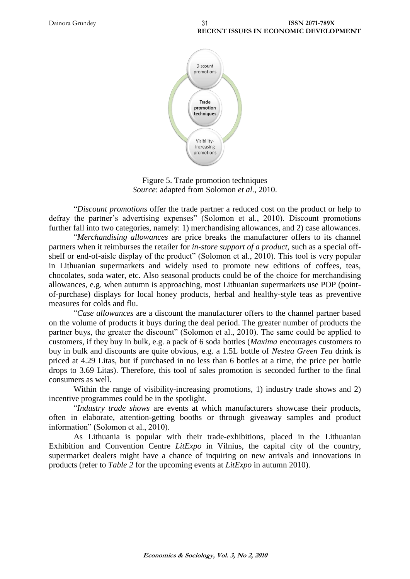

Figure 5. Trade promotion techniques *Source*: adapted from Solomon *et al.*, 2010.

"*Discount promotions* offer the trade partner a reduced cost on the product or help to defray the partner's advertising expenses" (Solomon et al., 2010). Discount promotions further fall into two categories, namely: 1) merchandising allowances, and 2) case allowances.

"*Merchandising allowances* are price breaks the manufacturer offers to its channel partners when it reimburses the retailer for *in-store support of a product*, such as a special offshelf or end-of-aisle display of the product" (Solomon et al., 2010). This tool is very popular in Lithuanian supermarkets and widely used to promote new editions of coffees, teas, chocolates, soda water, etc. Also seasonal products could be of the choice for merchandising allowances, e.g. when autumn is approaching, most Lithuanian supermarkets use POP (pointof-purchase) displays for local honey products, herbal and healthy-style teas as preventive measures for colds and flu.

"*Case allowances* are a discount the manufacturer offers to the channel partner based on the volume of products it buys during the deal period. The greater number of products the partner buys, the greater the discount" (Solomon et al., 2010). The same could be applied to customers, if they buy in bulk, e.g. a pack of 6 soda bottles (*Maxima* encourages customers to buy in bulk and discounts are quite obvious, e.g. a 1.5L bottle of *Nestea Green Tea* drink is priced at 4.29 Litas, but if purchased in no less than 6 bottles at a time, the price per bottle drops to 3.69 Litas). Therefore, this tool of sales promotion is seconded further to the final consumers as well.

Within the range of visibility-increasing promotions, 1) industry trade shows and 2) incentive programmes could be in the spotlight.

"*Industry trade shows* are events at which manufacturers showcase their products, often in elaborate, attention-getting booths or through giveaway samples and product information" (Solomon et al., 2010).

As Lithuania is popular with their trade-exhibitions, placed in the Lithuanian Exhibition and Convention Centre *LitExpo* in Vilnius, the capital city of the country, supermarket dealers might have a chance of inquiring on new arrivals and innovations in products (refer to *Table 2* for the upcoming events at *LitExpo* in autumn 2010).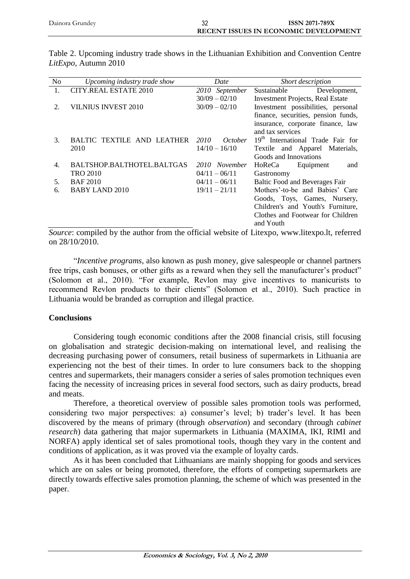| Dainora Grundey | <b>ISSN 2071-789X</b>                        |
|-----------------|----------------------------------------------|
|                 | <b>RECENT ISSUES IN ECONOMIC DEVELOPMENT</b> |

| N <sub>0</sub> | Upcoming industry trade show | Date             | Short description                             |
|----------------|------------------------------|------------------|-----------------------------------------------|
|                | <b>CITY.REAL ESTATE 2010</b> | 2010 September   | Development,<br>Sustainable                   |
|                |                              | $30/09 - 02/10$  | <b>Investment Projects, Real Estate</b>       |
| 2.             | <b>VILNIUS INVEST 2010</b>   | $30/09 - 02/10$  | Investment possibilities, personal            |
|                |                              |                  | finance, securities, pension funds,           |
|                |                              |                  | insurance, corporate finance, law             |
|                |                              |                  | and tax services                              |
| 3.             | BALTIC TEXTILE AND LEATHER   | 2010<br>October  | 19 <sup>th</sup> International Trade Fair for |
|                | 2010                         | $14/10 - 16/10$  | Textile and Apparel Materials,                |
|                |                              |                  | Goods and Innovations                         |
| 4.             | BALTSHOP.BALTHOTEL.BALTGAS   | November<br>2010 | Equipment<br>HoReCa<br>and                    |
|                | <b>TRO 2010</b>              | $04/11 - 06/11$  | Gastronomy                                    |
| 5.             | <b>BAF2010</b>               | $04/11 - 06/11$  | Baltic Food and Beverages Fair                |
| 6.             | <b>BABY LAND 2010</b>        | $19/11 - 21/11$  | Mothers'-to-be and Babies' Care               |
|                |                              |                  | Goods, Toys, Games, Nursery,                  |
|                |                              |                  | Children's and Youth's Furniture,             |
|                |                              |                  | Clothes and Footwear for Children             |
|                |                              |                  | and Youth                                     |

Table 2. Upcoming industry trade shows in the Lithuanian Exhibition and Convention Centre *LitExpo*, Autumn 2010

*Source*: compiled by the author from the official website of Litexpo, [www.litexpo.lt,](http://www.litexpo.lt/) referred on 28/10/2010.

"*Incentive programs*, also known as push money, give salespeople or channel partners free trips, cash bonuses, or other gifts as a reward when they sell the manufacturer's product" (Solomon et al., 2010). "For example, Revlon may give incentives to manicurists to recommend Revlon products to their clients" (Solomon et al., 2010). Such practice in Lithuania would be branded as corruption and illegal practice.

### **Conclusions**

Considering tough economic conditions after the 2008 financial crisis, still focusing on globalisation and strategic decision-making on international level, and realising the decreasing purchasing power of consumers, retail business of supermarkets in Lithuania are experiencing not the best of their times. In order to lure consumers back to the shopping centres and supermarkets, their managers consider a series of sales promotion techniques even facing the necessity of increasing prices in several food sectors, such as dairy products, bread and meats.

Therefore, a theoretical overview of possible sales promotion tools was performed, considering two major perspectives: a) consumer's level; b) trader's level. It has been discovered by the means of primary (through *observation*) and secondary (through *cabinet research*) data gathering that major supermarkets in Lithuania (MAXIMA, IKI, RIMI and NORFA) apply identical set of sales promotional tools, though they vary in the content and conditions of application, as it was proved via the example of loyalty cards.

As it has been concluded that Lithuanians are mainly shopping for goods and services which are on sales or being promoted, therefore, the efforts of competing supermarkets are directly towards effective sales promotion planning, the scheme of which was presented in the paper.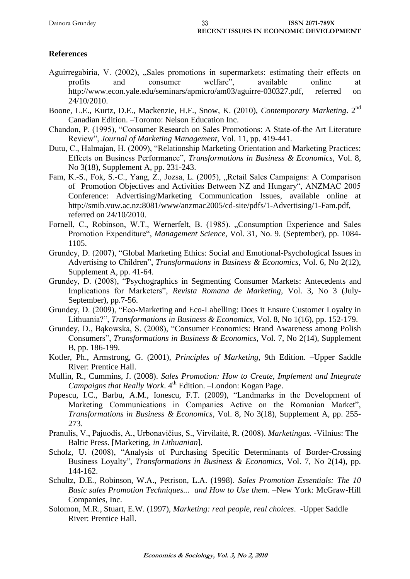| Dainora Grundey | JJ. | <b>ISSN 2071-789X</b>                        |
|-----------------|-----|----------------------------------------------|
|                 |     | <b>RECENT ISSUES IN ECONOMIC DEVELOPMENT</b> |
|                 |     |                                              |

## **References**

- Aguirregabiria, V. (2002), "Sales promotions in supermarkets: estimating their effects on profits and consumer welfare". available online at profits and consumer welfare", available online at [http://www.econ.yale.edu/seminars/apmicro/am03/aguirre-030327.pdf,](http://www.econ.yale.edu/seminars/apmicro/am03/aguirre-030327.pdf) referred on 24/10/2010.
- Boone, L.E., Kurtz, D.E., Mackenzie, H.F., Snow, K. (2010), *Contemporary Marketing*. 2nd Canadian Edition. –Toronto: Nelson Education Inc.
- Chandon, P. (1995), "Consumer Research on Sales Promotions: A State-of-the Art Literature Review", *Journal of Marketing Management*, Vol. 11, pp. 419-441.
- Dutu, C., Halmajan, H. (2009), "Relationship Marketing Orientation and Marketing Practices: Effects on Business Performance", *Transformations in Business & Economics*, Vol. 8, No 3(18), Supplement A, pp. 231-243.
- Fam, K.-S., Fok, S.-C., Yang, Z., Jozsa, L. (2005), "Retail Sales Campaigns: A Comparison of Promotion Objectives and Activities Between NZ and Hungary", ANZMAC 2005 Conference: Advertising/Marketing Communication Issues, available online at [http://smib.vuw.ac.nz:8081/www/anzmac2005/cd-site/pdfs/1-Advertising/1-Fam.pdf,](http://smib.vuw.ac.nz:8081/www/anzmac2005/cd-site/pdfs/1-Advertising/1-Fam.pdf) referred on 24/10/2010.
- Fornell, C., Robinson, W.T., Wernerfelt, B. (1985). "Consumption Experience and Sales Promotion Expenditure", *Management Science*, Vol. 31, No. 9. (September), pp. 1084- 1105.
- Grundey, D. (2007), "Global Marketing Ethics: Social and Emotional-Psychological Issues in Advertising to Children", *Transformations in Business & Economics*, Vol. 6, No 2(12), Supplement A, pp. 41-64.
- Grundey, D. (2008), "Psychographics in Segmenting Consumer Markets: Antecedents and Implications for Marketers", *Revista Romana de Marketing*, Vol. 3, No 3 (July-September), pp.7-56.
- Grundey, D. (2009), "Eco-Marketing and Eco-Labelling: Does it Ensure Customer Loyalty in Lithuania?", *Transformations in Business & Economics*, Vol. 8, No 1(16), pp. 152-179.
- Grundey, D., Bąkowska, S. (2008), "Consumer Economics: Brand Awareness among Polish Consumers", *Transformations in Business & Economics*, Vol. 7, No 2(14), Supplement B, pp. 186-199.
- Kotler, Ph., Armstrong, G. (2001), *Principles of Marketing*, 9th Edition. –Upper Saddle River: Prentice Hall.
- Mullin, R., Cummins, J. (2008). *Sales Promotion: How to Create, Implement and Integrate Campaigns that Really Work*. 4<sup>th</sup> Edition. –London: Kogan Page.
- Popescu, I.C., Barbu, A.M., Ionescu, F.T. (2009), "Landmarks in the Development of Marketing Communications in Companies Active on the Romanian Market", *Transformations in Business & Economics*, Vol. 8, No 3(18), Supplement A, pp. 255- 273.
- Pranulis, V., Pajuodis, A., Urbonavičius, S., Virvilaitė, R. (2008). *Marketingas.* -Vilnius: The Baltic Press. [Marketing, *in Lithuanian*].
- Scholz, U. (2008), "Analysis of Purchasing Specific Determinants of Border-Crossing Business Loyalty", *Transformations in Business & Economics*, Vol. 7, No 2(14), pp. 144-162.
- Schultz, D.E., Robinson, W.A., Petrison, L.A. (1998). *Sales Promotion Essentials: The 10 Basic sales Promotion Techniques... and How to Use them*. –New York: McGraw-Hill Companies, Inc.
- Solomon, M.R., Stuart, E.W. (1997), *Marketing: real people, real choices*. -Upper Saddle River: Prentice Hall.